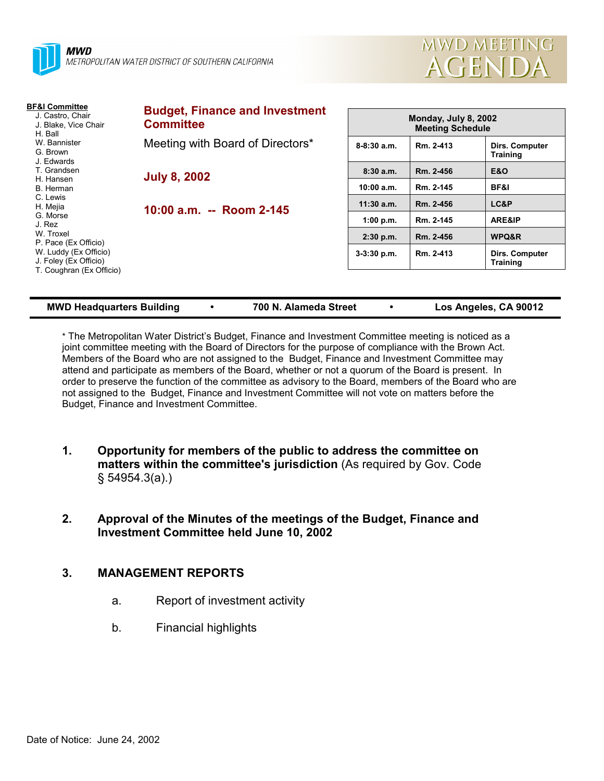



| <b>BF&amp;I Committee</b><br>J. Castro, Chair<br>J. Blake, Vice Chair<br>H. Ball                                                      | <b>Budget, Finance and Investment</b><br><b>Committee</b> | <b>Monday, July 8, 2002</b><br><b>Meeting Schedule</b> |           |                                          |
|---------------------------------------------------------------------------------------------------------------------------------------|-----------------------------------------------------------|--------------------------------------------------------|-----------|------------------------------------------|
| W. Bannister<br>G. Brown<br>J. Edwards                                                                                                | Meeting with Board of Directors*                          | $8-8:30a.m.$                                           | Rm. 2-413 | Dirs. Computer<br><b>Training</b>        |
| T. Grandsen                                                                                                                           | <b>July 8, 2002</b><br>10:00 a.m. -- Room 2-145           | 8:30a.m.                                               | Rm. 2-456 | <b>E&amp;O</b>                           |
| H. Hansen<br>B. Herman                                                                                                                |                                                           | 10:00 a.m.                                             | Rm. 2-145 | BF&I                                     |
| C. Lewis<br>H. Mejia                                                                                                                  |                                                           | $11:30$ a.m.                                           | Rm. 2-456 | LC&P                                     |
| G. Morse<br>J. Rez<br>W. Troxel<br>P. Pace (Ex Officio)<br>W. Luddy (Ex Officio)<br>J. Foley (Ex Officio)<br>T. Coughran (Ex Officio) |                                                           | 1:00 p.m.                                              | Rm. 2-145 | ARE&IP                                   |
|                                                                                                                                       |                                                           | $2:30$ p.m.                                            | Rm. 2-456 | WPQ&R                                    |
|                                                                                                                                       |                                                           | $3-3:30$ p.m.                                          | Rm. 2-413 | <b>Dirs. Computer</b><br><b>Training</b> |
|                                                                                                                                       |                                                           |                                                        |           |                                          |

|  | MWD Headquarters Building |
|--|---------------------------|
|  |                           |

**MWD Headquarters Building ! 700 N. Alameda Street ! Los Angeles, CA 90012**

\* The Metropolitan Water Districtís Budget, Finance and Investment Committee meeting is noticed as a joint committee meeting with the Board of Directors for the purpose of compliance with the Brown Act. Members of the Board who are not assigned to the Budget, Finance and Investment Committee may attend and participate as members of the Board, whether or not a quorum of the Board is present. In order to preserve the function of the committee as advisory to the Board, members of the Board who are not assigned to the Budget, Finance and Investment Committee will not vote on matters before the Budget, Finance and Investment Committee.

- **1. Opportunity for members of the public to address the committee on matters within the committee's jurisdiction** (As required by Gov. Code ß 54954.3(a).)
- **2. Approval of the Minutes of the meetings of the Budget, Finance and Investment Committee held June 10, 2002**

# **3. MANAGEMENT REPORTS**

- a. Report of investment activity
- b. Financial highlights